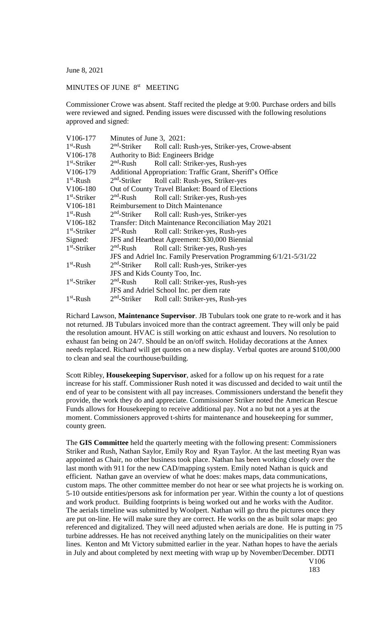June 8, 2021

## MINUTES OF JUNE 8<sup>st</sup> MEETING

Commissioner Crowe was absent. Staff recited the pledge at 9:00. Purchase orders and bills were reviewed and signed. Pending issues were discussed with the following resolutions approved and signed:

| V106-177              | Minutes of June 3, 2021:                                           |                                                                         |
|-----------------------|--------------------------------------------------------------------|-------------------------------------------------------------------------|
| $1st$ -Rush           |                                                                    | 2 <sup>nd</sup> -Striker Roll call: Rush-yes, Striker-yes, Crowe-absent |
| V106-178              | Authority to Bid: Engineers Bridge                                 |                                                                         |
| $1st$ -Striker        | $2nd$ -Rush                                                        | Roll call: Striker-yes, Rush-yes                                        |
| V106-179              | Additional Appropriation: Traffic Grant, Sheriff's Office          |                                                                         |
| $1st$ -Rush           |                                                                    | 2 <sup>nd</sup> -Striker Roll call: Rush-yes, Striker-yes               |
| V <sub>106</sub> -180 | Out of County Travel Blanket: Board of Elections                   |                                                                         |
| $1st$ -Striker        | $2nd$ -Rush                                                        | Roll call: Striker-yes, Rush-yes                                        |
| V106-181              | <b>Reimbursement to Ditch Maintenance</b>                          |                                                                         |
| $1st$ -Rush           |                                                                    | 2 <sup>nd</sup> -Striker Roll call: Rush-yes, Striker-yes               |
| V106-182              | Transfer: Ditch Maintenance Reconciliation May 2021                |                                                                         |
| $1st$ -Striker        | $2nd$ -Rush                                                        | Roll call: Striker-yes, Rush-yes                                        |
| Signed:               | JFS and Heartbeat Agreement: \$30,000 Biennial                     |                                                                         |
| $1st$ -Striker        | $2nd$ -Rush                                                        | Roll call: Striker-yes, Rush-yes                                        |
|                       | JFS and Adriel Inc. Family Preservation Programming 6/1/21-5/31/22 |                                                                         |
| $1st$ -Rush           | $2nd$ -Striker                                                     | Roll call: Rush-yes, Striker-yes                                        |
|                       | JFS and Kids County Too, Inc.                                      |                                                                         |
| $1st$ -Striker        | $2nd$ -Rush                                                        | Roll call: Striker-yes, Rush-yes                                        |
|                       | JFS and Adriel School Inc. per diem rate                           |                                                                         |
| $1st$ -Rush           |                                                                    | 2 <sup>nd</sup> -Striker Roll call: Striker-yes, Rush-yes               |

Richard Lawson, **Maintenance Supervisor**. JB Tubulars took one grate to re-work and it has not returned. JB Tubulars invoiced more than the contract agreement. They will only be paid the resolution amount. HVAC is still working on attic exhaust and louvers. No resolution to exhaust fan being on 24/7. Should be an on/off switch. Holiday decorations at the Annex needs replaced. Richard will get quotes on a new display. Verbal quotes are around \$100,000 to clean and seal the courthouse/building.

Scott Ribley, **Housekeeping Supervisor**, asked for a follow up on his request for a rate increase for his staff. Commissioner Rush noted it was discussed and decided to wait until the end of year to be consistent with all pay increases. Commissioners understand the benefit they provide, the work they do and appreciate. Commissioner Striker noted the American Rescue Funds allows for Housekeeping to receive additional pay. Not a no but not a yes at the moment. Commissioners approved t-shirts for maintenance and housekeeping for summer, county green.

The **GIS Committee** held the quarterly meeting with the following present: Commissioners Striker and Rush, Nathan Saylor, Emily Roy and Ryan Taylor. At the last meeting Ryan was appointed as Chair, no other business took place. Nathan has been working closely over the last month with 911 for the new CAD/mapping system. Emily noted Nathan is quick and efficient. Nathan gave an overview of what he does: makes maps, data communications, custom maps. The other committee member do not hear or see what projects he is working on. 5-10 outside entities/persons ask for information per year. Within the county a lot of questions and work product. Building footprints is being worked out and he works with the Auditor. The aerials timeline was submitted by Woolpert. Nathan will go thru the pictures once they are put on-line. He will make sure they are correct. He works on the as built solar maps: geo referenced and digitalized. They will need adjusted when aerials are done. He is putting in 75 turbine addresses. He has not received anything lately on the municipalities on their water lines. Kenton and Mt Victory submitted earlier in the year. Nathan hopes to have the aerials in July and about completed by next meeting with wrap up by November/December. DDTI